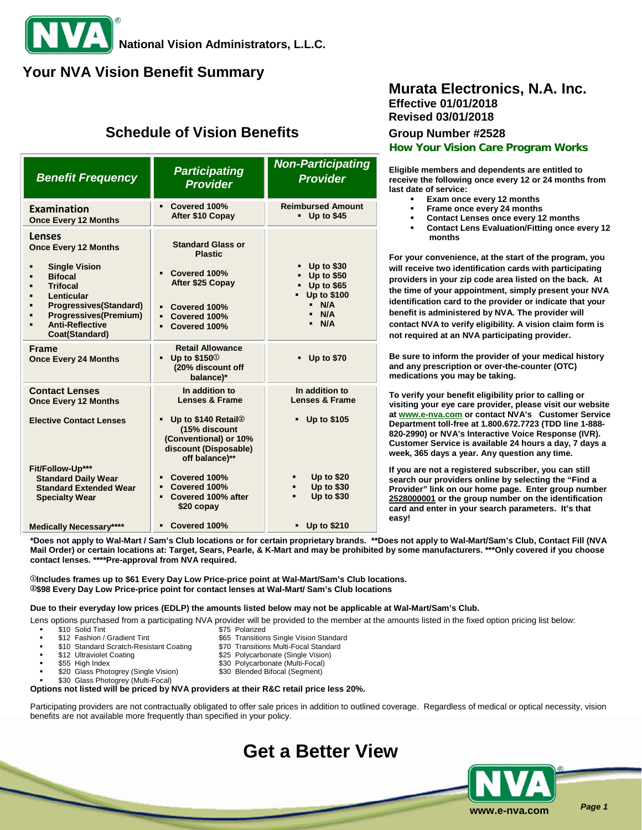# **Your NVA Vision Benefit Summary**

# **Schedule of Vision Benefits Group Number #2528**

| <b>Benefit Frequency</b>                                                                                                                                                                                                      | <b>Participating</b><br><b>Provider</b>                                                                                        | <b>Non-Participating</b><br><b>Provider</b>                                                                               |
|-------------------------------------------------------------------------------------------------------------------------------------------------------------------------------------------------------------------------------|--------------------------------------------------------------------------------------------------------------------------------|---------------------------------------------------------------------------------------------------------------------------|
| <b>Examination</b><br><b>Once Every 12 Months</b>                                                                                                                                                                             | Covered 100%<br>After \$10 Copay                                                                                               | <b>Reimbursed Amount</b><br>$-$ Up to \$45                                                                                |
| <b>Lenses</b><br><b>Once Every 12 Months</b><br><b>Single Vision</b><br><b>Bifocal</b><br><b>Trifocal</b><br>Lenticular<br>Progressives(Standard)<br><b>Progressives(Premium)</b><br><b>Anti-Reflective</b><br>Coat(Standard) | <b>Standard Glass or</b><br><b>Plastic</b><br>Covered 100%<br>After \$25 Copay<br>Covered 100%<br>Covered 100%<br>Covered 100% | <b>Up to \$30</b><br><b>Up to \$50</b><br>$-$ Up to \$65<br><b>Up to \$100</b><br>$\blacksquare$<br>N/A<br>- N/A<br>- N/A |
| <b>Frame</b><br><b>Once Every 24 Months</b>                                                                                                                                                                                   | <b>Retail Allowance</b><br>Up to \$150 <sup>①</sup><br>(20% discount off<br>balance)*                                          | <b>Up to \$70</b>                                                                                                         |
| <b>Contact Lenses</b><br><b>Once Every 12 Months</b>                                                                                                                                                                          | In addition to<br>Lenses & Frame                                                                                               | In addition to<br><b>Lenses &amp; Frame</b>                                                                               |
| <b>Elective Contact Lenses</b>                                                                                                                                                                                                | Up to \$140 Retail <sup>2</sup><br>(15% discount<br>(Conventional) or 10%<br>discount (Disposable)<br>off balance)**           | <b>Up to \$105</b>                                                                                                        |
| Fit/Follow-Up***<br><b>Standard Daily Wear</b><br><b>Standard Extended Wear</b><br><b>Specialty Wear</b>                                                                                                                      | Covered 100%<br>Covered 100%<br>Covered 100% after<br>\$20 copay                                                               | <b>Up to \$20</b><br><b>Up to \$30</b><br>٠<br><b>Up to \$30</b><br>$\blacksquare$                                        |
| <b>Medically Necessary****</b>                                                                                                                                                                                                | Covered 100%                                                                                                                   | Up to \$210                                                                                                               |

## **Murata Electronics, N.A. Inc. Effective 01/01/2018 Revised 03/01/2018**

**How Your Vision Care Program Works**

**Eligible members and dependents are entitled to receive the following once every 12 or 24 months from last date of service:**

- **Exam once every 12 months**
- **Frame once every 24 months**
- **Contact Lenses once every 12 months**
- **Contact Lens Evaluation/Fitting once every 12 months**

**For your convenience, at the start of the program, you will receive two identification cards with participating providers in your zip code area listed on the back. At the time of your appointment, simply present your NVA identification card to the provider or indicate that your benefit is administered by NVA. The provider will contact NVA to verify eligibility. A vision claim form is not required at an NVA participating provider.**

**Be sure to inform the provider of your medical history and any prescription or over-the-counter (OTC) medications you may be taking.**

**To verify your benefit eligibility prior to calling or visiting your eye care provider, please visit our website a[t www.e-nva.com](http://www.e-nva.com/) or contact NVA's Customer Service Department toll-free at 1.800.672.7723 (TDD line 1-888- 820-2990) or NVA's Interactive Voice Response (IVR). Customer Service is available 24 hours a day, 7 days a week, 365 days a year. Any question any time.**

**If you are not a registered subscriber, you can still search our providers online by selecting the "Find a Provider" link on our home page. Enter group number 2528000001 or the group number on the identification card and enter in your search parameters. It's that easy!**

**\*Does not apply to Wal-Mart / Sam's Club locations or for certain proprietary brands. \*\*Does not apply to Wal-Mart/Sam's Club, Contact Fill (NVA Mail Order) or certain locations at: Target, Sears, Pearle, & K-Mart and may be prohibited by some manufacturers. \*\*\*Only covered if you choose contact lenses. \*\*\*\*Pre-approval from NVA required.** 

<sup>①</sup>**Includes frames up to \$61 Every Day Low Price-price point at Wal-Mart/Sam's Club locations.** <sup>②</sup>**\$98 Every Day Low Price-price point for contact lenses at Wal-Mart/ Sam's Club locations**

### **Due to their everyday low prices (EDLP) the amounts listed below may not be applicable at Wal-Mart/Sam's Club.**

Lens options purchased from a participating NVA provider will be provided to the member at the amounts listed in the fixed option pricing list below:<br>\$75 Polarized 55 Polarized \$10 Solid Tint<br>\$12 Fashion / Gradient Tint

- 
- \$10 Standard Scratch-Resistant Coating<br>\$12 Ultraviolet Coating
- 
- 
- \$20 Glass Photogrey (Single Vision)
- \$30 Glass Photogrey (Multi-Focal)
- \$65 Transitions Single Vision Standard<br>\$70 Transitions Multi-Focal Standard
- \$12 Ultraviolet Coating <br>\$25 Polycarbonate (Single Vision) \$55 High Index (State of Sand Control & Sand Polycarbonate (Multi-Focal)
	- \$30 Polycarbonate (Multi-Focal)<br>\$30 Blended Bifocal (Segment)
	-

### **Options not listed will be priced by NVA providers at their R&C retail price less 20%.**

Participating providers are not contractually obligated to offer sale prices in addition to outlined coverage. Regardless of medical or optical necessity, vision benefits are not available more frequently than specified in your policy.

**Get a Better View**